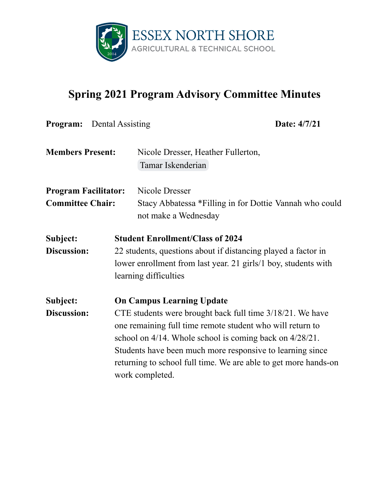

## **Spring 2021 Program Advisory Committee Minutes**

|                             | <b>Program:</b> Dental Assisting |                                                                | Date: 4/7/21                                                    |  |
|-----------------------------|----------------------------------|----------------------------------------------------------------|-----------------------------------------------------------------|--|
| <b>Members Present:</b>     |                                  | Nicole Dresser, Heather Fullerton,                             |                                                                 |  |
|                             |                                  | Tamar Iskenderian                                              |                                                                 |  |
| <b>Program Facilitator:</b> |                                  | Nicole Dresser                                                 |                                                                 |  |
| <b>Committee Chair:</b>     |                                  | Stacy Abbatessa *Filling in for Dottie Vannah who could        |                                                                 |  |
|                             |                                  | not make a Wednesday                                           |                                                                 |  |
| Subject:                    |                                  | <b>Student Enrollment/Class of 2024</b>                        |                                                                 |  |
| <b>Discussion:</b>          |                                  | 22 students, questions about if distancing played a factor in  |                                                                 |  |
|                             |                                  | lower enrollment from last year. 21 girls/1 boy, students with |                                                                 |  |
|                             |                                  | learning difficulties                                          |                                                                 |  |
| Subject:                    |                                  | <b>On Campus Learning Update</b>                               |                                                                 |  |
| <b>Discussion:</b>          |                                  | CTE students were brought back full time 3/18/21. We have      |                                                                 |  |
|                             |                                  | one remaining full time remote student who will return to      |                                                                 |  |
|                             |                                  | school on 4/14. Whole school is coming back on 4/28/21.        |                                                                 |  |
|                             |                                  |                                                                | Students have been much more responsive to learning since       |  |
|                             |                                  | work completed.                                                | returning to school full time. We are able to get more hands-on |  |
|                             |                                  |                                                                |                                                                 |  |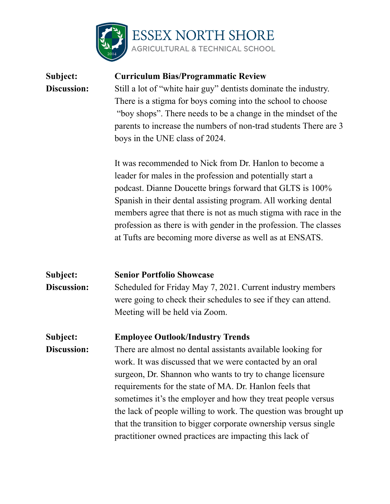

## **Subject: Curriculum Bias/Programmatic Review Discussion:** Still a lot of "white hair guy" dentists dominate the industry. There is a stigma for boys coming into the school to choose "boy shops". There needs to be a change in the mindset of the parents to increase the numbers of non-trad students There are 3 boys in the UNE class of 2024. It was recommended to Nick from Dr. Hanlon to become a leader for males in the profession and potentially start a

podcast. Dianne Doucette brings forward that GLTS is 100% Spanish in their dental assisting program. All working dental members agree that there is not as much stigma with race in the profession as there is with gender in the profession. The classes at Tufts are becoming more diverse as well as at ENSATS.

## **Subject: Senior Portfolio Showcase Discussion:** Scheduled for Friday May 7, 2021. Current industry members were going to check their schedules to see if they can attend. Meeting will be held via Zoom. **Subject: Employee Outlook/Industry Trends Discussion:** There are almost no dental assistants available looking for work. It was discussed that we were contacted by an oral surgeon, Dr. Shannon who wants to try to change licensure requirements for the state of MA. Dr. Hanlon feels that sometimes it's the employer and how they treat people versus the lack of people willing to work. The question was brought up that the transition to bigger corporate ownership versus single practitioner owned practices are impacting this lack of